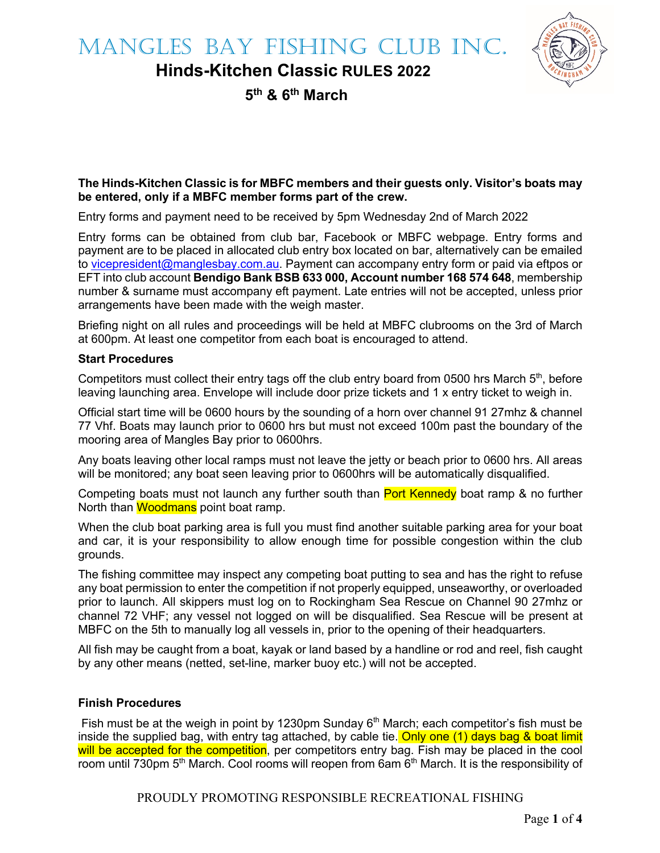

**Hinds-Kitchen Classic RULES 2022**

**5th & 6th March**

#### **The Hinds-Kitchen Classic is for MBFC members and their guests only. Visitor's boats may be entered, only if a MBFC member forms part of the crew.**

Entry forms and payment need to be received by 5pm Wednesday 2nd of March 2022

Entry forms can be obtained from club bar, Facebook or MBFC webpage. Entry forms and payment are to be placed in allocated club entry box located on bar, alternatively can be emailed to vicepresident@manglesbay.com.au. Payment can accompany entry form or paid via eftpos or EFT into club account **Bendigo Bank BSB 633 000, Account number 168 574 648**, membership number & surname must accompany eft payment. Late entries will not be accepted, unless prior arrangements have been made with the weigh master.

Briefing night on all rules and proceedings will be held at MBFC clubrooms on the 3rd of March at 600pm. At least one competitor from each boat is encouraged to attend.

#### **Start Procedures**

Competitors must collect their entry tags off the club entry board from 0500 hrs March  $5<sup>th</sup>$ , before leaving launching area. Envelope will include door prize tickets and 1 x entry ticket to weigh in.

Official start time will be 0600 hours by the sounding of a horn over channel 91 27mhz & channel 77 Vhf. Boats may launch prior to 0600 hrs but must not exceed 100m past the boundary of the mooring area of Mangles Bay prior to 0600hrs.

Any boats leaving other local ramps must not leave the jetty or beach prior to 0600 hrs. All areas will be monitored; any boat seen leaving prior to 0600hrs will be automatically disqualified.

Competing boats must not launch any further south than Port Kennedy boat ramp & no further North than Woodmans point boat ramp.

When the club boat parking area is full you must find another suitable parking area for your boat and car, it is your responsibility to allow enough time for possible congestion within the club grounds.

The fishing committee may inspect any competing boat putting to sea and has the right to refuse any boat permission to enter the competition if not properly equipped, unseaworthy, or overloaded prior to launch. All skippers must log on to Rockingham Sea Rescue on Channel 90 27mhz or channel 72 VHF; any vessel not logged on will be disqualified. Sea Rescue will be present at MBFC on the 5th to manually log all vessels in, prior to the opening of their headquarters.

All fish may be caught from a boat, kayak or land based by a handline or rod and reel, fish caught by any other means (netted, set-line, marker buoy etc.) will not be accepted.

#### **Finish Procedures**

Fish must be at the weigh in point by 1230pm Sunday  $6<sup>th</sup>$  March; each competitor's fish must be inside the supplied bag, with entry tag attached, by cable tie. Only one  $(1)$  days bag & boat limit will be accepted for the competition, per competitors entry bag. Fish may be placed in the cool room until 730pm 5<sup>th</sup> March. Cool rooms will reopen from 6am 6<sup>th</sup> March. It is the responsibility of

PROUDLY PROMOTING RESPONSIBLE RECREATIONAL FISHING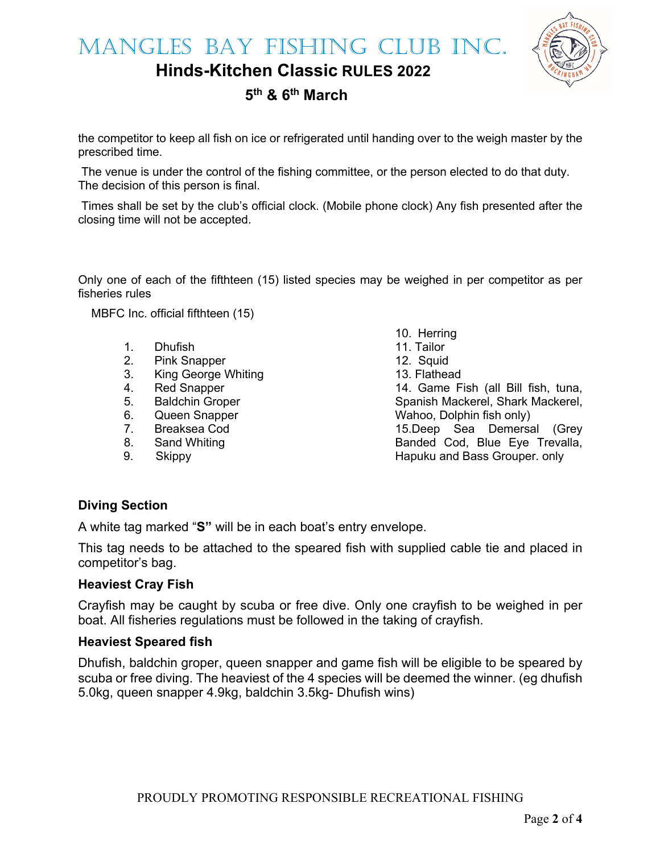MANGLES BAY FISHING CLUB INC.

**Hinds-Kitchen Classic RULES 2022**



# **5th & 6th March**

the competitor to keep all fish on ice or refrigerated until handing over to the weigh master by the prescribed time.

The venue is under the control of the fishing committee, or the person elected to do that duty. The decision of this person is final.

Times shall be set by the club's official clock. (Mobile phone clock) Any fish presented after the closing time will not be accepted.

Only one of each of the fifthteen (15) listed species may be weighed in per competitor as per fisheries rules

MBFC Inc. official fifthteen (15)

- 1. Dhufish
- 2. Pink Snapper
- 3. King George Whiting<br>4. Red Snapper
- Red Snapper
- 5. Baldchin Groper
- 6. Queen Snapper
- 7. Breaksea Cod
- 8. Sand Whiting
- 9. Skippy

10. Herring 11. Tailor 12. Squid 13. Flathead 14. Game Fish (all Bill fish, tuna, Spanish Mackerel, Shark Mackerel, Wahoo, Dolphin fish only) 15.Deep Sea Demersal (Grey Banded Cod, Blue Eye Trevalla, Hapuku and Bass Grouper. only

## **Diving Section**

A white tag marked "**S"** will be in each boat's entry envelope.

This tag needs to be attached to the speared fish with supplied cable tie and placed in competitor's bag.

#### **Heaviest Cray Fish**

Crayfish may be caught by scuba or free dive. Only one crayfish to be weighed in per boat. All fisheries regulations must be followed in the taking of crayfish.

#### **Heaviest Speared fish**

Dhufish, baldchin groper, queen snapper and game fish will be eligible to be speared by scuba or free diving. The heaviest of the 4 species will be deemed the winner. (eg dhufish 5.0kg, queen snapper 4.9kg, baldchin 3.5kg- Dhufish wins)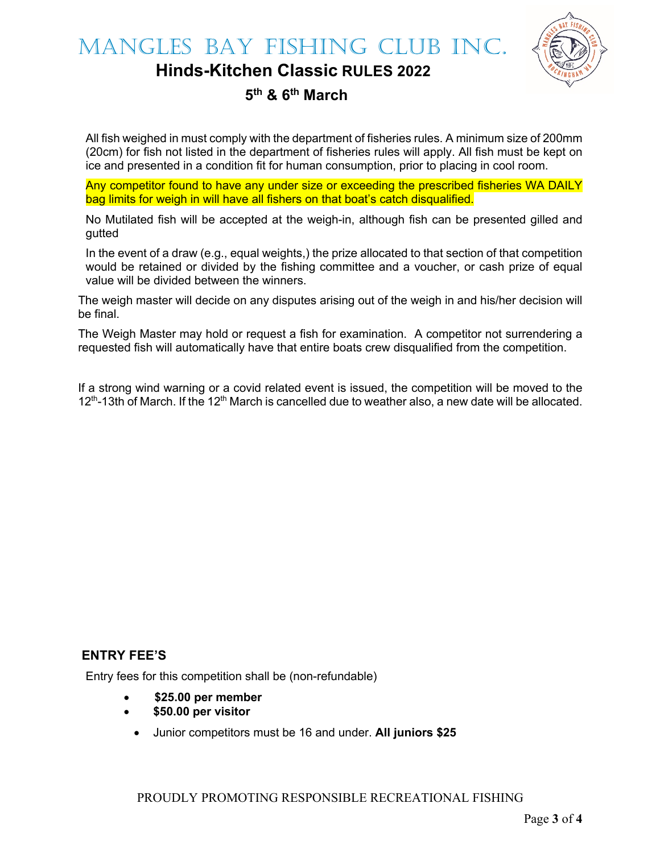

## **Hinds-Kitchen Classic RULES 2022**

## **5th & 6th March**

All fish weighed in must comply with the department of fisheries rules. A minimum size of 200mm (20cm) for fish not listed in the department of fisheries rules will apply. All fish must be kept on ice and presented in a condition fit for human consumption, prior to placing in cool room.

Any competitor found to have any under size or exceeding the prescribed fisheries WA DAILY bag limits for weigh in will have all fishers on that boat's catch disqualified.

No Mutilated fish will be accepted at the weigh-in, although fish can be presented gilled and gutted

In the event of a draw (e.g., equal weights,) the prize allocated to that section of that competition would be retained or divided by the fishing committee and a voucher, or cash prize of equal value will be divided between the winners.

The weigh master will decide on any disputes arising out of the weigh in and his/her decision will be final.

The Weigh Master may hold or request a fish for examination. A competitor not surrendering a requested fish will automatically have that entire boats crew disqualified from the competition.

If a strong wind warning or a covid related event is issued, the competition will be moved to the  $12<sup>th</sup>$ -13th of March. If the 12<sup>th</sup> March is cancelled due to weather also, a new date will be allocated.

### **ENTRY FEE'S**

Entry fees for this competition shall be (non-refundable)

- **\$25.00 per member**
- **\$50.00 per visitor**
	- Junior competitors must be 16 and under. **All juniors \$25**